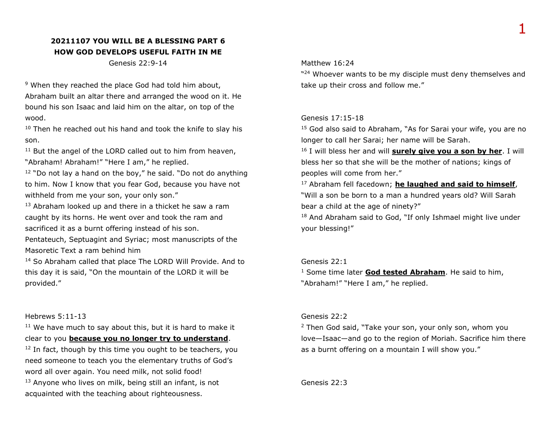# **20211107 YOU WILL BE A BLESSING PART 6 HOW GOD DEVELOPS USEFUL FAITH IN ME**

Genesis 22:9-14

<sup>9</sup> When they reached the place God had told him about, Abraham built an altar there and arranged the wood on it. He bound his son Isaac and laid him on the altar, on top of the wood.

 $10$  Then he reached out his hand and took the knife to slay his son.

<sup>11</sup> But the angel of the LORD called out to him from heaven, "Abraham! Abraham!" "Here I am," he replied.

 $12$  "Do not lay a hand on the boy," he said. "Do not do anything to him. Now I know that you fear God, because you have not withheld from me your son, your only son."

 $13$  Abraham looked up and there in a thicket he saw a ram caught by its horns. He went over and took the ram and sacrificed it as a burnt offering instead of his son.

Pentateuch, Septuagint and Syriac; most manuscripts of the Masoretic Text a ram behind him

<sup>14</sup> So Abraham called that place The LORD Will Provide. And to this day it is said, "On the mountain of the LORD it will be provided."

#### Hebrews 5:11-13

 $11$  We have much to say about this, but it is hard to make it clear to you **because you no longer try to understand**.

 $12$  In fact, though by this time you ought to be teachers, you need someone to teach you the elementary truths of God's word all over again. You need milk, not solid food!

<sup>13</sup> Anyone who lives on milk, being still an infant, is not acquainted with the teaching about righteousness.

#### Matthew 16:24

"<sup>24</sup> Whoever wants to be my disciple must deny themselves and take up their cross and follow me."

### Genesis 17:15-18

<sup>15</sup> God also said to Abraham, "As for Sarai your wife, you are no longer to call her Sarai; her name will be Sarah.

<sup>16</sup> I will bless her and will **surely give you a son by her**. I will bless her so that she will be the mother of nations; kings of peoples will come from her."

<sup>17</sup> Abraham fell facedown; **he laughed and said to himself**, "Will a son be born to a man a hundred years old? Will Sarah bear a child at the age of ninety?"

18 And Abraham said to God, "If only Ishmael might live under your blessing!"

### Genesis 22:1

<sup>1</sup> Some time later **God tested Abraham**. He said to him,

"Abraham!" "Here I am," he replied.

#### Genesis 22:2

<sup>2</sup> Then God said, "Take your son, your only son, whom you love—Isaac—and go to the region of Moriah. Sacrifice him there as a burnt offering on a mountain I will show you."

Genesis 22:3